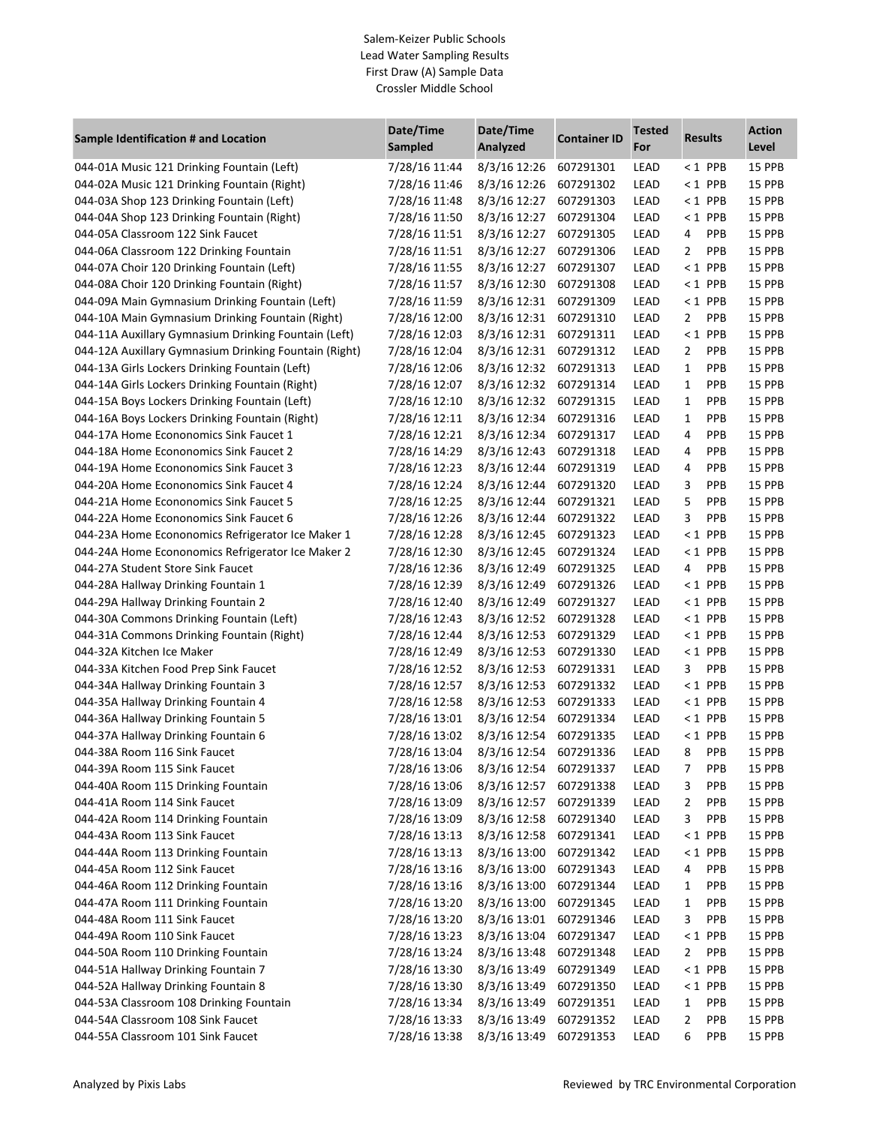## Salem-Keizer Public Schools Lead Water Sampling Results First Draw (A) Sample Data Crossler Middle School

| Sample Identification # and Location                  | Date/Time<br><b>Sampled</b> | Date/Time<br>Analyzed        | <b>Container ID</b> | <b>Tested</b><br>For | <b>Results</b>  | <b>Action</b><br>Level |
|-------------------------------------------------------|-----------------------------|------------------------------|---------------------|----------------------|-----------------|------------------------|
| 044-01A Music 121 Drinking Fountain (Left)            | 7/28/16 11:44               | 8/3/16 12:26                 | 607291301           | LEAD                 | $< 1$ PPB       | 15 PPB                 |
| 044-02A Music 121 Drinking Fountain (Right)           | 7/28/16 11:46               | 8/3/16 12:26                 | 607291302           | LEAD                 | $< 1$ PPB       | 15 PPB                 |
| 044-03A Shop 123 Drinking Fountain (Left)             | 7/28/16 11:48               | 8/3/16 12:27                 | 607291303           | LEAD                 | $< 1$ PPB       | 15 PPB                 |
| 044-04A Shop 123 Drinking Fountain (Right)            | 7/28/16 11:50               | 8/3/16 12:27                 | 607291304           | LEAD                 | $< 1$ PPB       | 15 PPB                 |
| 044-05A Classroom 122 Sink Faucet                     | 7/28/16 11:51               | 8/3/16 12:27                 | 607291305           | LEAD                 | PPB<br>4        | 15 PPB                 |
| 044-06A Classroom 122 Drinking Fountain               | 7/28/16 11:51               | 8/3/16 12:27                 | 607291306           | LEAD                 | 2<br><b>PPB</b> | 15 PPB                 |
| 044-07A Choir 120 Drinking Fountain (Left)            | 7/28/16 11:55               | 8/3/16 12:27                 | 607291307           | LEAD                 | $< 1$ PPB       | 15 PPB                 |
| 044-08A Choir 120 Drinking Fountain (Right)           | 7/28/16 11:57               | 8/3/16 12:30                 | 607291308           | LEAD                 | $< 1$ PPB       | 15 PPB                 |
| 044-09A Main Gymnasium Drinking Fountain (Left)       | 7/28/16 11:59               | 8/3/16 12:31                 | 607291309           | LEAD                 | $< 1$ PPB       | 15 PPB                 |
| 044-10A Main Gymnasium Drinking Fountain (Right)      | 7/28/16 12:00               | 8/3/16 12:31                 | 607291310           | LEAD                 | PPB<br>2        | 15 PPB                 |
| 044-11A Auxillary Gymnasium Drinking Fountain (Left)  | 7/28/16 12:03               | 8/3/16 12:31                 | 607291311           | LEAD                 | $< 1$ PPB       | 15 PPB                 |
| 044-12A Auxillary Gymnasium Drinking Fountain (Right) | 7/28/16 12:04               | 8/3/16 12:31                 | 607291312           | LEAD                 | PPB<br>2        | 15 PPB                 |
| 044-13A Girls Lockers Drinking Fountain (Left)        | 7/28/16 12:06               | 8/3/16 12:32                 | 607291313           | LEAD                 | PPB<br>1        | 15 PPB                 |
| 044-14A Girls Lockers Drinking Fountain (Right)       | 7/28/16 12:07               | 8/3/16 12:32                 | 607291314           | LEAD                 | PPB<br>1        | 15 PPB                 |
| 044-15A Boys Lockers Drinking Fountain (Left)         | 7/28/16 12:10               | 8/3/16 12:32                 | 607291315           | LEAD                 | <b>PPB</b><br>1 | 15 PPB                 |
| 044-16A Boys Lockers Drinking Fountain (Right)        | 7/28/16 12:11               | 8/3/16 12:34                 | 607291316           | LEAD                 | PPB<br>1        | 15 PPB                 |
| 044-17A Home Econonomics Sink Faucet 1                | 7/28/16 12:21               | 8/3/16 12:34                 | 607291317           | LEAD                 | PPB<br>4        | 15 PPB                 |
| 044-18A Home Econonomics Sink Faucet 2                | 7/28/16 14:29               | 8/3/16 12:43                 | 607291318           | LEAD                 | <b>PPB</b><br>4 | 15 PPB                 |
| 044-19A Home Econonomics Sink Faucet 3                | 7/28/16 12:23               | 8/3/16 12:44                 | 607291319           | LEAD                 | <b>PPB</b><br>4 | 15 PPB                 |
| 044-20A Home Econonomics Sink Faucet 4                | 7/28/16 12:24               | 8/3/16 12:44                 | 607291320           | LEAD                 | <b>PPB</b><br>3 | 15 PPB                 |
| 044-21A Home Econonomics Sink Faucet 5                | 7/28/16 12:25               | 8/3/16 12:44                 | 607291321           | LEAD                 | 5<br><b>PPB</b> | 15 PPB                 |
| 044-22A Home Econonomics Sink Faucet 6                | 7/28/16 12:26               | 8/3/16 12:44                 | 607291322           | LEAD                 | PPB<br>3        | 15 PPB                 |
| 044-23A Home Econonomics Refrigerator Ice Maker 1     | 7/28/16 12:28               | 8/3/16 12:45                 | 607291323           | LEAD                 | <1 PPB          | 15 PPB                 |
| 044-24A Home Econonomics Refrigerator Ice Maker 2     | 7/28/16 12:30               | 8/3/16 12:45                 | 607291324           | LEAD                 | $< 1$ PPB       | 15 PPB                 |
| 044-27A Student Store Sink Faucet                     | 7/28/16 12:36               | 8/3/16 12:49                 | 607291325           | LEAD                 | <b>PPB</b><br>4 | 15 PPB                 |
| 044-28A Hallway Drinking Fountain 1                   | 7/28/16 12:39               | 8/3/16 12:49                 | 607291326           | LEAD                 | $< 1$ PPB       | 15 PPB                 |
| 044-29A Hallway Drinking Fountain 2                   | 7/28/16 12:40               | 8/3/16 12:49                 | 607291327           | LEAD                 | $< 1$ PPB       | 15 PPB                 |
| 044-30A Commons Drinking Fountain (Left)              | 7/28/16 12:43               | 8/3/16 12:52                 | 607291328           | LEAD                 | $< 1$ PPB       | 15 PPB                 |
| 044-31A Commons Drinking Fountain (Right)             | 7/28/16 12:44               | 8/3/16 12:53                 | 607291329           | LEAD                 | $< 1$ PPB       | 15 PPB                 |
| 044-32A Kitchen Ice Maker                             | 7/28/16 12:49               | 8/3/16 12:53                 | 607291330           | LEAD                 | $< 1$ PPB       | 15 PPB                 |
|                                                       |                             | 8/3/16 12:53                 | 607291331           | LEAD                 | 3<br>PPB        | 15 PPB                 |
| 044-33A Kitchen Food Prep Sink Faucet                 | 7/28/16 12:52               |                              |                     |                      |                 | 15 PPB                 |
| 044-34A Hallway Drinking Fountain 3                   | 7/28/16 12:57               | 8/3/16 12:53<br>8/3/16 12:53 | 607291332           | LEAD                 | $< 1$ PPB       | 15 PPB                 |
| 044-35A Hallway Drinking Fountain 4                   | 7/28/16 12:58               |                              | 607291333           | LEAD                 | $< 1$ PPB       |                        |
| 044-36A Hallway Drinking Fountain 5                   | 7/28/16 13:01               | 8/3/16 12:54                 | 607291334           | LEAD                 | $< 1$ PPB       | 15 PPB                 |
| 044-37A Hallway Drinking Fountain 6                   | 7/28/16 13:02               | 8/3/16 12:54                 | 607291335           | LEAD                 | $< 1$ PPB       | 15 PPB                 |
| 044-38A Room 116 Sink Faucet                          | 7/28/16 13:04               | 8/3/16 12:54                 | 607291336           | LEAD                 | 8<br>PPB        | 15 PPB                 |
| 044-39A Room 115 Sink Faucet                          | 7/28/16 13:06               | 8/3/16 12:54                 | 607291337           | LEAD                 | 7<br><b>PPB</b> | 15 PPB                 |
| 044-40A Room 115 Drinking Fountain                    | 7/28/16 13:06               | 8/3/16 12:57                 | 607291338           | LEAD                 | 3<br>PPB        | 15 PPB                 |
| 044-41A Room 114 Sink Faucet                          | 7/28/16 13:09               | 8/3/16 12:57                 | 607291339           | LEAD                 | 2<br>PPB        | 15 PPB                 |
| 044-42A Room 114 Drinking Fountain                    | 7/28/16 13:09               | 8/3/16 12:58                 | 607291340           | LEAD                 | 3<br>PPB        | 15 PPB                 |
| 044-43A Room 113 Sink Faucet                          | 7/28/16 13:13               | 8/3/16 12:58                 | 607291341           | LEAD                 | $< 1$ PPB       | 15 PPB                 |
| 044-44A Room 113 Drinking Fountain                    | 7/28/16 13:13               | 8/3/16 13:00                 | 607291342           | LEAD                 | $< 1$ PPB       | 15 PPB                 |
| 044-45A Room 112 Sink Faucet                          | 7/28/16 13:16               | 8/3/16 13:00                 | 607291343           | LEAD                 | PPB<br>4        | 15 PPB                 |
| 044-46A Room 112 Drinking Fountain                    | 7/28/16 13:16               | 8/3/16 13:00                 | 607291344           | LEAD                 | PPB<br>1        | 15 PPB                 |
| 044-47A Room 111 Drinking Fountain                    | 7/28/16 13:20               | 8/3/16 13:00                 | 607291345           | LEAD                 | 1<br>PPB        | 15 PPB                 |
| 044-48A Room 111 Sink Faucet                          | 7/28/16 13:20               | 8/3/16 13:01                 | 607291346           | LEAD                 | 3<br>PPB        | 15 PPB                 |
| 044-49A Room 110 Sink Faucet                          | 7/28/16 13:23               | 8/3/16 13:04                 | 607291347           | LEAD                 | $< 1$ PPB       | 15 PPB                 |
| 044-50A Room 110 Drinking Fountain                    | 7/28/16 13:24               | 8/3/16 13:48                 | 607291348           | LEAD                 | PPB<br>2        | 15 PPB                 |
| 044-51A Hallway Drinking Fountain 7                   | 7/28/16 13:30               | 8/3/16 13:49                 | 607291349           | LEAD                 | $< 1$ PPB       | 15 PPB                 |
| 044-52A Hallway Drinking Fountain 8                   | 7/28/16 13:30               | 8/3/16 13:49                 | 607291350           | LEAD                 | $< 1$ PPB       | 15 PPB                 |
| 044-53A Classroom 108 Drinking Fountain               | 7/28/16 13:34               | 8/3/16 13:49                 | 607291351           | LEAD                 | PPB<br>1        | 15 PPB                 |
| 044-54A Classroom 108 Sink Faucet                     | 7/28/16 13:33               | 8/3/16 13:49                 | 607291352           | LEAD                 | 2<br>PPB        | 15 PPB                 |
| 044-55A Classroom 101 Sink Faucet                     | 7/28/16 13:38               | 8/3/16 13:49                 | 607291353           | LEAD                 | 6<br>PPB        | 15 PPB                 |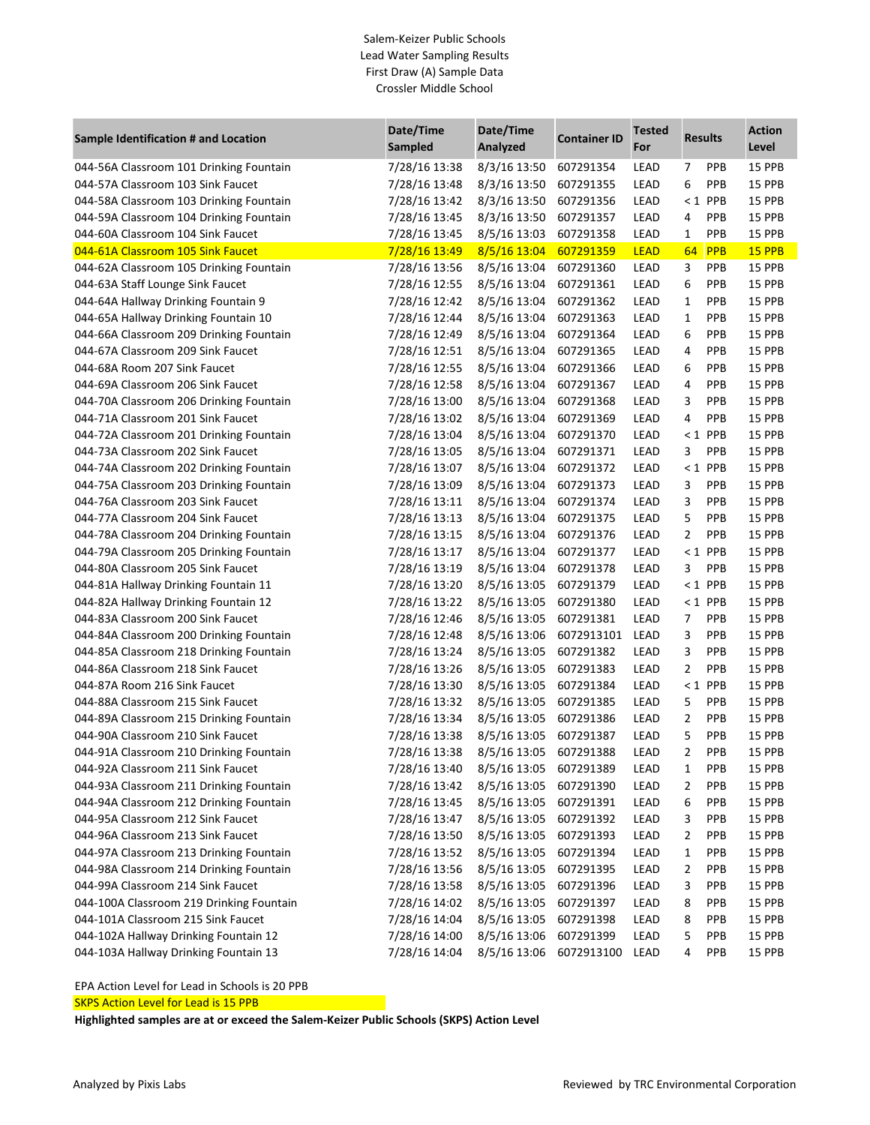## Salem-Keizer Public Schools Lead Water Sampling Results First Draw (A) Sample Data Crossler Middle School

| Sample Identification # and Location     | Date/Time<br>Sampled | Date/Time<br>Analyzed | <b>Container ID</b> | <b>Tested</b><br>For | <b>Results</b> |            | <b>Action</b><br>Level |
|------------------------------------------|----------------------|-----------------------|---------------------|----------------------|----------------|------------|------------------------|
| 044-56A Classroom 101 Drinking Fountain  | 7/28/16 13:38        | 8/3/16 13:50          | 607291354           | LEAD                 | 7              | <b>PPB</b> | 15 PPB                 |
| 044-57A Classroom 103 Sink Faucet        | 7/28/16 13:48        | 8/3/16 13:50          | 607291355           | LEAD                 | 6              | <b>PPB</b> | 15 PPB                 |
| 044-58A Classroom 103 Drinking Fountain  | 7/28/16 13:42        | 8/3/16 13:50          | 607291356           | LEAD                 | $\leq 1$       | PPB        | 15 PPB                 |
| 044-59A Classroom 104 Drinking Fountain  | 7/28/16 13:45        | 8/3/16 13:50          | 607291357           | LEAD                 | 4              | PPB        | 15 PPB                 |
| 044-60A Classroom 104 Sink Faucet        | 7/28/16 13:45        | 8/5/16 13:03          | 607291358           | LEAD                 | 1              | PPB        | 15 PPB                 |
| 044-61A Classroom 105 Sink Faucet        | 7/28/16 13:49        | 8/5/16 13:04          | 607291359           | <b>LEAD</b>          | 64             | <b>PPB</b> | 15 PPB                 |
| 044-62A Classroom 105 Drinking Fountain  | 7/28/16 13:56        | 8/5/16 13:04          | 607291360           | LEAD                 | 3              | <b>PPB</b> | 15 PPB                 |
| 044-63A Staff Lounge Sink Faucet         | 7/28/16 12:55        | 8/5/16 13:04          | 607291361           | LEAD                 | 6              | <b>PPB</b> | 15 PPB                 |
| 044-64A Hallway Drinking Fountain 9      | 7/28/16 12:42        | 8/5/16 13:04          | 607291362           | LEAD                 | 1              | <b>PPB</b> | 15 PPB                 |
| 044-65A Hallway Drinking Fountain 10     | 7/28/16 12:44        | 8/5/16 13:04          | 607291363           | LEAD                 | 1              | <b>PPB</b> | 15 PPB                 |
| 044-66A Classroom 209 Drinking Fountain  | 7/28/16 12:49        | 8/5/16 13:04          | 607291364           | LEAD                 | 6              | <b>PPB</b> | 15 PPB                 |
| 044-67A Classroom 209 Sink Faucet        | 7/28/16 12:51        | 8/5/16 13:04          | 607291365           | LEAD                 | 4              | <b>PPB</b> | 15 PPB                 |
| 044-68A Room 207 Sink Faucet             | 7/28/16 12:55        | 8/5/16 13:04          | 607291366           | LEAD                 | 6              | <b>PPB</b> | 15 PPB                 |
| 044-69A Classroom 206 Sink Faucet        | 7/28/16 12:58        | 8/5/16 13:04          | 607291367           | LEAD                 | 4              | <b>PPB</b> | 15 PPB                 |
| 044-70A Classroom 206 Drinking Fountain  | 7/28/16 13:00        | 8/5/16 13:04          | 607291368           | LEAD                 | 3              | <b>PPB</b> | 15 PPB                 |
| 044-71A Classroom 201 Sink Faucet        | 7/28/16 13:02        | 8/5/16 13:04          | 607291369           | LEAD                 | 4              | <b>PPB</b> | 15 PPB                 |
| 044-72A Classroom 201 Drinking Fountain  | 7/28/16 13:04        | 8/5/16 13:04          | 607291370           | LEAD                 |                | $< 1$ PPB  | 15 PPB                 |
| 044-73A Classroom 202 Sink Faucet        | 7/28/16 13:05        | 8/5/16 13:04          | 607291371           | LEAD                 | 3              | PPB        | 15 PPB                 |
| 044-74A Classroom 202 Drinking Fountain  | 7/28/16 13:07        | 8/5/16 13:04          | 607291372           | LEAD                 |                | $< 1$ PPB  | 15 PPB                 |
| 044-75A Classroom 203 Drinking Fountain  | 7/28/16 13:09        | 8/5/16 13:04          | 607291373           | LEAD                 | 3              | <b>PPB</b> | 15 PPB                 |
| 044-76A Classroom 203 Sink Faucet        | 7/28/16 13:11        | 8/5/16 13:04          | 607291374           | LEAD                 | 3              | <b>PPB</b> | 15 PPB                 |
| 044-77A Classroom 204 Sink Faucet        | 7/28/16 13:13        | 8/5/16 13:04          | 607291375           | LEAD                 | 5              | <b>PPB</b> | 15 PPB                 |
| 044-78A Classroom 204 Drinking Fountain  | 7/28/16 13:15        | 8/5/16 13:04          | 607291376           | LEAD                 | 2              | <b>PPB</b> | 15 PPB                 |
| 044-79A Classroom 205 Drinking Fountain  | 7/28/16 13:17        | 8/5/16 13:04          | 607291377           | LEAD                 |                | $< 1$ PPB  | 15 PPB                 |
| 044-80A Classroom 205 Sink Faucet        | 7/28/16 13:19        | 8/5/16 13:04          | 607291378           | LEAD                 | 3              | <b>PPB</b> | 15 PPB                 |
| 044-81A Hallway Drinking Fountain 11     | 7/28/16 13:20        | 8/5/16 13:05          | 607291379           | LEAD                 |                | $< 1$ PPB  | 15 PPB                 |
| 044-82A Hallway Drinking Fountain 12     | 7/28/16 13:22        | 8/5/16 13:05          | 607291380           | LEAD                 |                | $< 1$ PPB  | 15 PPB                 |
| 044-83A Classroom 200 Sink Faucet        | 7/28/16 12:46        | 8/5/16 13:05          | 607291381           | LEAD                 | 7              | <b>PPB</b> | 15 PPB                 |
| 044-84A Classroom 200 Drinking Fountain  | 7/28/16 12:48        | 8/5/16 13:06          | 6072913101          | LEAD                 | 3              | <b>PPB</b> | 15 PPB                 |
| 044-85A Classroom 218 Drinking Fountain  | 7/28/16 13:24        | 8/5/16 13:05          | 607291382           | LEAD                 | 3              | PPB        | 15 PPB                 |
| 044-86A Classroom 218 Sink Faucet        | 7/28/16 13:26        | 8/5/16 13:05          | 607291383           | LEAD                 | 2              | PPB        | 15 PPB                 |
| 044-87A Room 216 Sink Faucet             | 7/28/16 13:30        | 8/5/16 13:05          | 607291384           | LEAD                 | $\leq 1$       | PPB        | 15 PPB                 |
| 044-88A Classroom 215 Sink Faucet        | 7/28/16 13:32        | 8/5/16 13:05          | 607291385           | LEAD                 | 5              | <b>PPB</b> | 15 PPB                 |
| 044-89A Classroom 215 Drinking Fountain  | 7/28/16 13:34        | 8/5/16 13:05          | 607291386           | LEAD                 | 2              | <b>PPB</b> | 15 PPB                 |
| 044-90A Classroom 210 Sink Faucet        | 7/28/16 13:38        | 8/5/16 13:05          | 607291387           | LEAD                 | 5              | PPB        | 15 PPB                 |
| 044-91A Classroom 210 Drinking Fountain  | 7/28/16 13:38        | 8/5/16 13:05          | 607291388           | LEAD                 | 2              | <b>PPB</b> | 15 PPB                 |
| 044-92A Classroom 211 Sink Faucet        | 7/28/16 13:40        | 8/5/16 13:05          | 607291389           | LEAD                 | 1              | <b>PPB</b> | 15 PPB                 |
| 044-93A Classroom 211 Drinking Fountain  | 7/28/16 13:42        | 8/5/16 13:05          | 607291390           | LEAD                 | 2              | <b>PPB</b> | 15 PPB                 |
| 044-94A Classroom 212 Drinking Fountain  | 7/28/16 13:45        | 8/5/16 13:05          | 607291391           | LEAD                 | 6              | <b>PPB</b> | 15 PPB                 |
| 044-95A Classroom 212 Sink Faucet        | 7/28/16 13:47        | 8/5/16 13:05          | 607291392           | LEAD                 | 3              | <b>PPB</b> | 15 PPB                 |
| 044-96A Classroom 213 Sink Faucet        | 7/28/16 13:50        | 8/5/16 13:05          | 607291393           | LEAD                 | 2              | <b>PPB</b> | 15 PPB                 |
| 044-97A Classroom 213 Drinking Fountain  | 7/28/16 13:52        | 8/5/16 13:05          | 607291394           | LEAD                 | 1              | <b>PPB</b> | 15 PPB                 |
| 044-98A Classroom 214 Drinking Fountain  | 7/28/16 13:56        | 8/5/16 13:05          | 607291395           | LEAD                 | 2              | <b>PPB</b> | 15 PPB                 |
| 044-99A Classroom 214 Sink Faucet        | 7/28/16 13:58        | 8/5/16 13:05          | 607291396           | LEAD                 | 3              | <b>PPB</b> | 15 PPB                 |
| 044-100A Classroom 219 Drinking Fountain | 7/28/16 14:02        | 8/5/16 13:05          | 607291397           | LEAD                 | 8              | <b>PPB</b> | 15 PPB                 |
| 044-101A Classroom 215 Sink Faucet       | 7/28/16 14:04        | 8/5/16 13:05          | 607291398           | LEAD                 | 8              | PPB        | 15 PPB                 |
| 044-102A Hallway Drinking Fountain 12    | 7/28/16 14:00        | 8/5/16 13:06          | 607291399           | LEAD                 | 5              | PPB        | 15 PPB                 |
| 044-103A Hallway Drinking Fountain 13    | 7/28/16 14:04        | 8/5/16 13:06          | 6072913100          | LEAD                 | 4              | PPB        | 15 PPB                 |

EPA Action Level for Lead in Schools is 20 PPB

SKPS Action Level for Lead is 15 PPB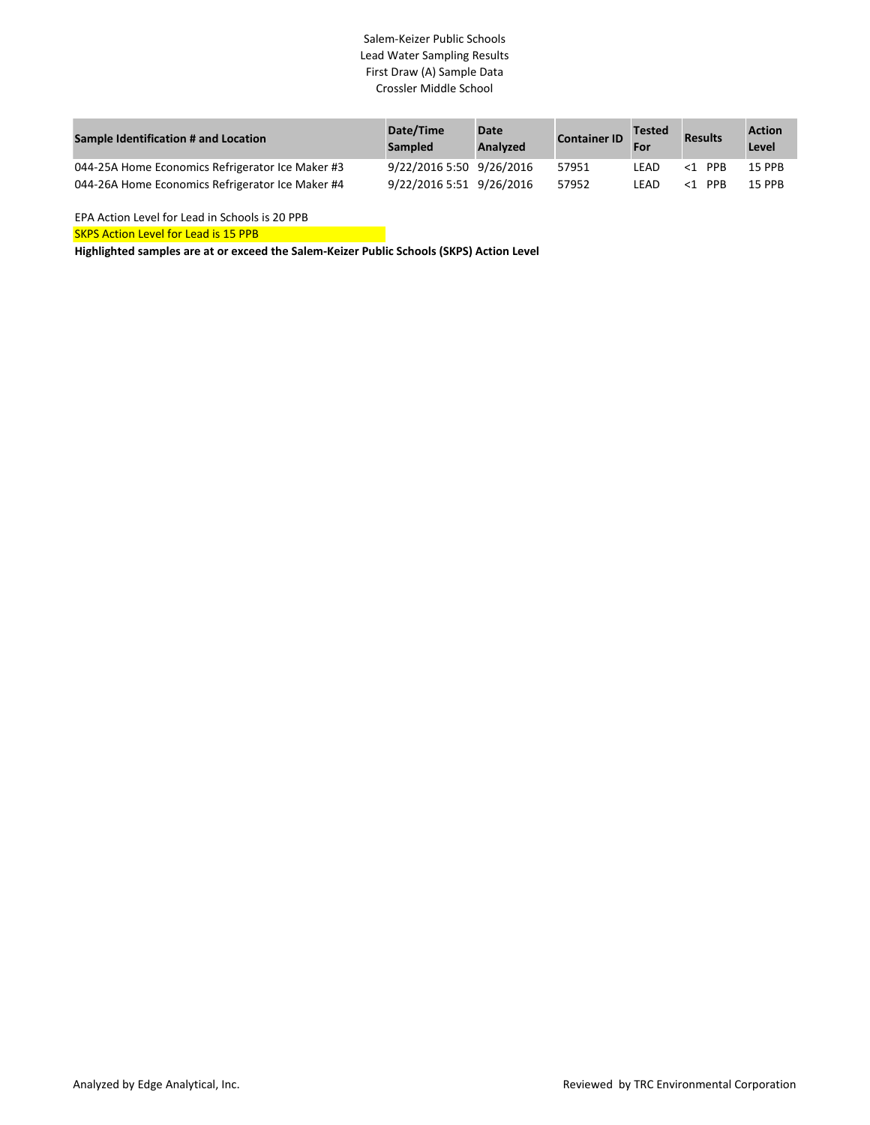# Salem-Keizer Public Schools Lead Water Sampling Results First Draw (A) Sample Data Crossler Middle School

| Sample Identification # and Location             | Date/Time<br><b>Sampled</b> | Date<br>Analyzed | <b>Container ID</b> | <b>Tested</b><br>For | <b>Results</b> | <b>Action</b><br>Level |
|--------------------------------------------------|-----------------------------|------------------|---------------------|----------------------|----------------|------------------------|
| 044-25A Home Economics Refrigerator Ice Maker #3 | 9/22/2016 5:50 9/26/2016    |                  | 57951               | LEAD                 | $<$ 1 PPR      | <b>15 PPB</b>          |
| 044-26A Home Economics Refrigerator Ice Maker #4 | 9/22/2016 5:51 9/26/2016    |                  | 57952               | I FAD.               | $<$ 1 PPR      | <b>15 PPR</b>          |

EPA Action Level for Lead in Schools is 20 PPB

**SKPS Action Level for Lead is 15 PPB**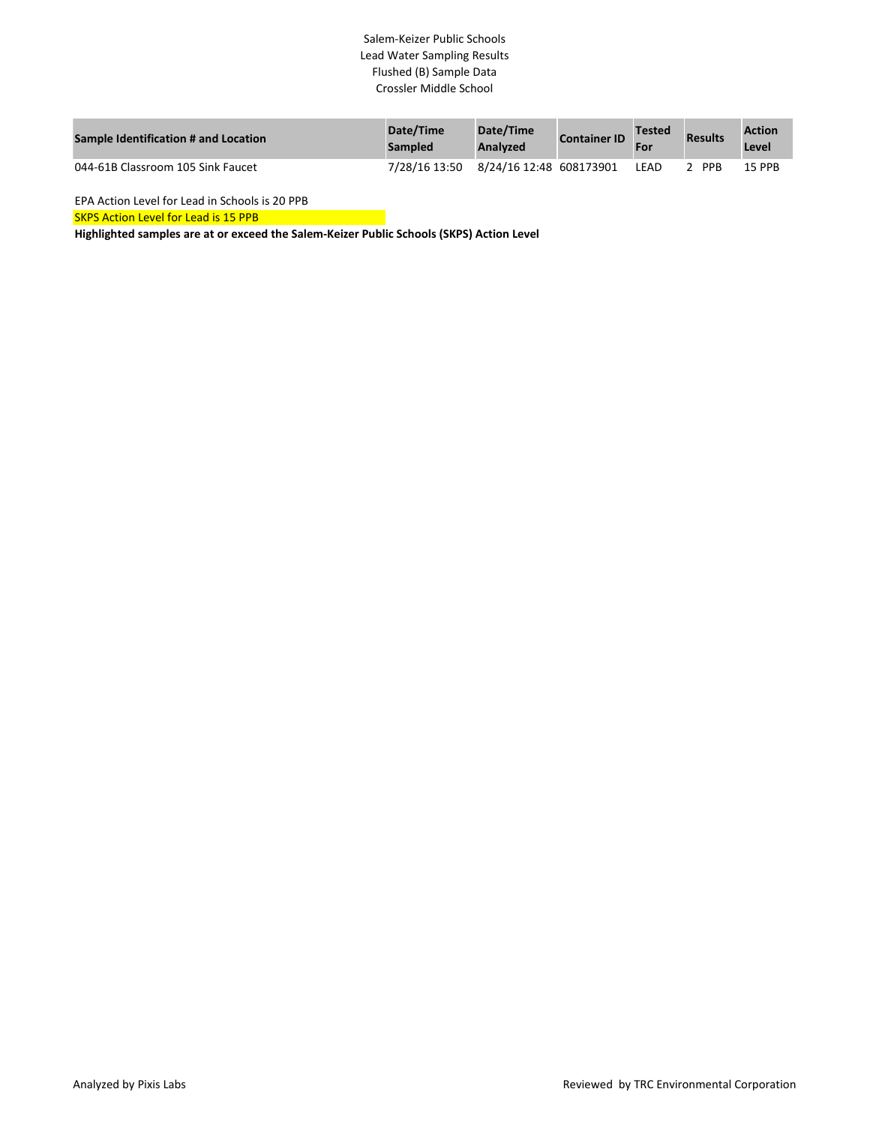# Salem-Keizer Public Schools Lead Water Sampling Results Flushed (B) Sample Data Crossler Middle School

| Sample Identification # and Location | Date/Time<br>Sampled | Date/Time<br>Analyzed   | <b>Container ID</b> | <b>Tested</b><br>For | <b>Results</b> | <b>Action</b><br>Level |
|--------------------------------------|----------------------|-------------------------|---------------------|----------------------|----------------|------------------------|
| 044-61B Classroom 105 Sink Faucet    | 7/28/16 13:50        | 8/24/16 12:48 608173901 |                     | LEAD                 | <b>PPR</b>     | <b>15 PPB</b>          |

EPA Action Level for Lead in Schools is 20 PPB

**SKPS Action Level for Lead is 15 PPB**